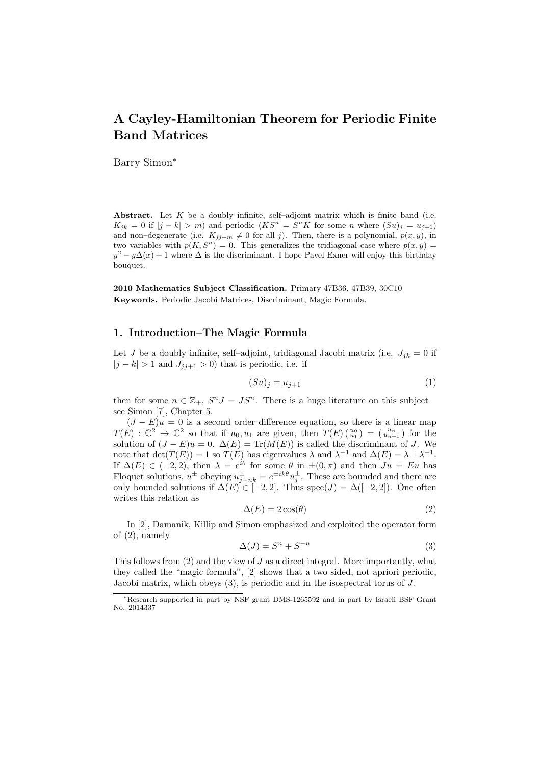# A Cayley-Hamiltonian Theorem for Periodic Finite Band Matrices

Barry Simon<sup>∗</sup>

Abstract. Let  $K$  be a doubly infinite, self-adjoint matrix which is finite band (i.e.  $K_{jk} = 0$  if  $|j - k| > m$ ) and periodic  $(KS<sup>n</sup> = S<sup>n</sup>K$  for some n where  $(Su)_{j} = u_{j+1}$ and non–degenerate (i.e.  $K_{jj+m} \neq 0$  for all j). Then, there is a polynomial,  $p(x, y)$ , in two variables with  $p(K, S^n) = 0$ . This generalizes the tridiagonal case where  $p(x, y) =$  $y^2 - y\Delta(x) + 1$  where  $\Delta$  is the discriminant. I hope Pavel Exner will enjoy this birthday bouquet.

2010 Mathematics Subject Classification. Primary 47B36, 47B39, 30C10 Keywords. Periodic Jacobi Matrices, Discriminant, Magic Formula.

## 1. Introduction–The Magic Formula

Let J be a doubly infinite, self-adjoint, tridiagonal Jacobi matrix (i.e.  $J_{jk} = 0$  if  $|j - k| > 1$  and  $J_{j,j+1} > 0$  that is periodic, i.e. if

$$
(Su)_j = u_{j+1} \tag{1}
$$

then for some  $n \in \mathbb{Z}_+$ ,  $S^n J = JS^n$ . There is a huge literature on this subject see Simon [7], Chapter 5.

 $(J - E)u = 0$  is a second order difference equation, so there is a linear map  $T(E) : \mathbb{C}^2 \to \mathbb{C}^2$  so that if  $u_0, u_1$  are given, then  $T(E)$   $\binom{u_0}{u_1} = \binom{u_n}{u_{n+1}}$  for the solution of  $(J - E)u = 0$ .  $\Delta(E) = \text{Tr}(M(E))$  is called the discriminant of J. We note that  $\det(T(E)) = 1$  so  $T(E)$  has eigenvalues  $\lambda$  and  $\lambda^{-1}$  and  $\Delta(E) = \lambda + \lambda^{-1}$ . If  $\Delta(E) \in (-2, 2)$ , then  $\lambda = e^{i\theta}$  for some  $\theta$  in  $\pm(0, \pi)$  and then  $Ju = Eu$  has Floquet solutions,  $u^{\pm}$  obeying  $u_{j+nk}^{\pm} = e^{\pm ik\theta}u_j^{\pm}$ . These are bounded and there are only bounded solutions if  $\Delta(E) \in [-2, 2]$ . Thus spec $(J) = \Delta([-2, 2])$ . One often writes this relation as

$$
\Delta(E) = 2\cos(\theta) \tag{2}
$$

In [2], Damanik, Killip and Simon emphasized and exploited the operator form of (2), namely

$$
\Delta(J) = S^n + S^{-n} \tag{3}
$$

This follows from  $(2)$  and the view of  $J$  as a direct integral. More importantly, what they called the "magic formula", [2] shows that a two sided, not apriori periodic, Jacobi matrix, which obeys (3), is periodic and in the isospectral torus of J.

<sup>∗</sup>Research supported in part by NSF grant DMS-1265592 and in part by Israeli BSF Grant No. 2014337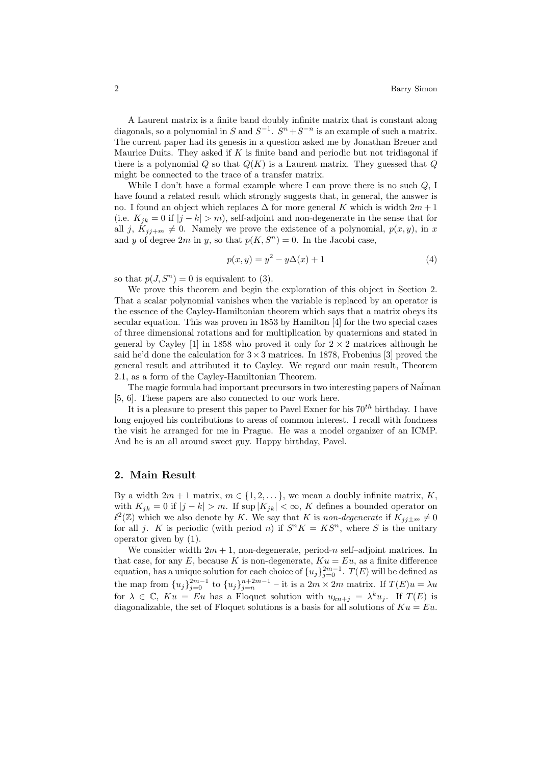A Laurent matrix is a finite band doubly infinite matrix that is constant along diagonals, so a polynomial in S and  $S^{-1}$ .  $S^{n} + S^{-n}$  is an example of such a matrix. The current paper had its genesis in a question asked me by Jonathan Breuer and Maurice Duits. They asked if  $K$  is finite band and periodic but not tridiagonal if there is a polynomial  $Q$  so that  $Q(K)$  is a Laurent matrix. They guessed that  $Q$ might be connected to the trace of a transfer matrix.

While I don't have a formal example where I can prove there is no such Q, I have found a related result which strongly suggests that, in general, the answer is no. I found an object which replaces  $\Delta$  for more general K which is width  $2m + 1$ (i.e.  $K_{jk} = 0$  if  $|j - k| > m$ ), self-adjoint and non-degenerate in the sense that for all j,  $K_{jj+m} \neq 0$ . Namely we prove the existence of a polynomial,  $p(x, y)$ , in x and y of degree 2m in y, so that  $p(K, S^n) = 0$ . In the Jacobi case,

$$
p(x, y) = y^2 - y\Delta(x) + 1
$$
 (4)

so that  $p(J, S^n) = 0$  is equivalent to (3).

We prove this theorem and begin the exploration of this object in Section 2. That a scalar polynomial vanishes when the variable is replaced by an operator is the essence of the Cayley-Hamiltonian theorem which says that a matrix obeys its secular equation. This was proven in 1853 by Hamilton [4] for the two special cases of three dimensional rotations and for multiplication by quaternions and stated in general by Cayley [1] in 1858 who proved it only for  $2 \times 2$  matrices although he said he'd done the calculation for  $3 \times 3$  matrices. In 1878, Frobenius [3] proved the general result and attributed it to Cayley. We regard our main result, Theorem 2.1, as a form of the Cayley-Hamiltonian Theorem.

The magic formula had important precursors in two interesting papers of Na $\tilde{i}$ man [5, 6]. These papers are also connected to our work here.

It is a pleasure to present this paper to Pavel Exner for his  $70^{th}$  birthday. I have long enjoyed his contributions to areas of common interest. I recall with fondness the visit he arranged for me in Prague. He was a model organizer of an ICMP. And he is an all around sweet guy. Happy birthday, Pavel.

## 2. Main Result

By a width  $2m + 1$  matrix,  $m \in \{1, 2, \dots\}$ , we mean a doubly infinite matrix, K, with  $K_{jk} = 0$  if  $|j - k| > m$ . If sup  $|K_{jk}| < \infty$ , K defines a bounded operator on  $\ell^2(\mathbb{Z})$  which we also denote by K. We say that K is non-degenerate if  $K_{jj\pm m}\neq 0$ for all j. K is periodic (with period n) if  $S^n K = K S^n$ , where S is the unitary operator given by (1).

We consider width  $2m + 1$ , non-degenerate, period-n self-adjoint matrices. In that case, for any E, because K is non-degenerate,  $Ku = Eu$ , as a finite difference equation, has a unique solution for each choice of  ${u_j}_{j=0}^{2m-1}$ .  $T(E)$  will be defined as the map from  ${u_j}_{j=0}^{2m-1}$  to  ${u_j}_{j=n}^{n+2m-1}$  - it is a  $2m \times 2m$  matrix. If  $T(E)u = \lambda u$ for  $\lambda \in \mathbb{C}$ ,  $Ku = Eu$  has a Floquet solution with  $u_{kn+j} = \lambda^k u_j$ . If  $T(E)$  is diagonalizable, the set of Floquet solutions is a basis for all solutions of  $Ku = Eu$ .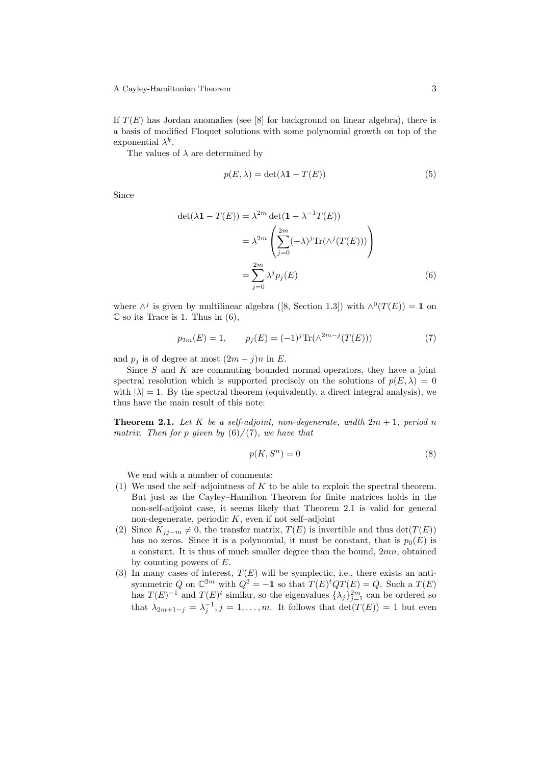#### A Cayley-Hamiltonian Theorem 3

If  $T(E)$  has Jordan anomalies (see [8] for background on linear algebra), there is a basis of modified Floquet solutions with some polynomial growth on top of the exponential  $\lambda^k$ .

The values of  $\lambda$  are determined by

$$
p(E, \lambda) = \det(\lambda \mathbf{1} - T(E))
$$
\n(5)

Since

$$
\det(\lambda \mathbf{1} - T(E)) = \lambda^{2m} \det(\mathbf{1} - \lambda^{-1} T(E))
$$

$$
= \lambda^{2m} \left( \sum_{j=0}^{2m} (-\lambda)^j \text{Tr}(\lambda^j (T(E))) \right)
$$

$$
= \sum_{j=0}^{2m} \lambda^j p_j(E) \tag{6}
$$

where  $\wedge^j$  is given by multilinear algebra ([8, Section 1.3]) with  $\wedge^0(T(E)) = 1$  on  $\mathbb C$  so its Trace is 1. Thus in (6),

$$
p_{2m}(E) = 1, \qquad p_j(E) = (-1)^j \text{Tr}(\wedge^{2m-j}(T(E))) \tag{7}
$$

and  $p_j$  is of degree at most  $(2m - j)n$  in E.

Since  $S$  and  $K$  are commuting bounded normal operators, they have a joint spectral resolution which is supported precisely on the solutions of  $p(E, \lambda) = 0$ with  $|\lambda| = 1$ . By the spectral theorem (equivalently, a direct integral analysis), we thus have the main result of this note:

**Theorem 2.1.** Let K be a self-adjoint, non-degenerate, width  $2m + 1$ , period n matrix. Then for p given by  $(6)/(7)$ , we have that

$$
p(K, S^n) = 0\tag{8}
$$

We end with a number of comments:

- (1) We used the self–adjointness of  $K$  to be able to exploit the spectral theorem. But just as the Cayley–Hamilton Theorem for finite matrices holds in the non-self-adjoint case, it seems likely that Theorem 2.1 is valid for general non-degenerate, periodic  $K$ , even if not self-adjoint
- (2) Since  $K_{jj-m} \neq 0$ , the transfer matrix,  $T(E)$  is invertible and thus det( $T(E)$ ) has no zeros. Since it is a polynomial, it must be constant, that is  $p_0(E)$  is a constant. It is thus of much smaller degree than the bound, 2mn, obtained by counting powers of E.
- (3) In many cases of interest,  $T(E)$  will be symplectic, i.e., there exists an antisymmetric Q on  $\mathbb{C}^{2m}$  with  $Q^2 = -1$  so that  $T(E)^t Q T(E) = Q$ . Such a  $T(E)$ has  $T(E)^{-1}$  and  $T(E)^t$  similar, so the eigenvalues  $\{\lambda_j\}_{j=1}^{2m}$  can be ordered so that  $\lambda_{2m+1-j} = \lambda_j^{-1}, j = 1, \ldots, m$ . It follows that  $\det(T(E)) = 1$  but even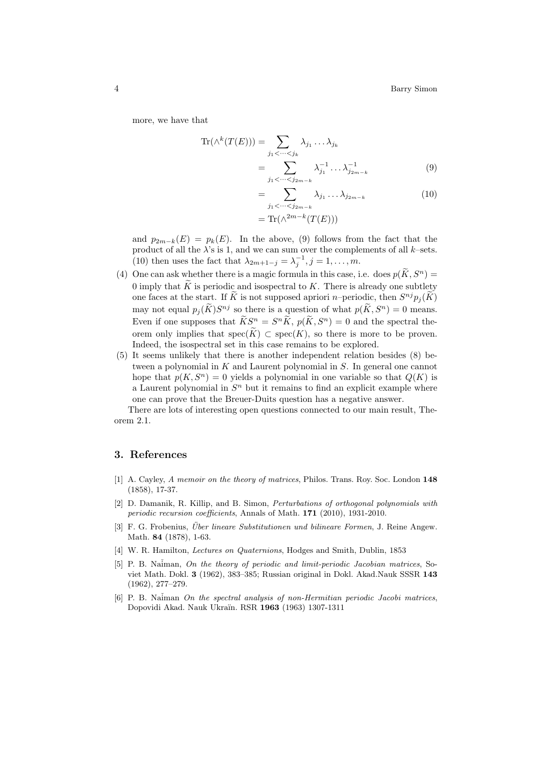more, we have that

$$
\operatorname{Tr}(\wedge^k(T(E))) = \sum_{j_1 < \cdots < j_k} \lambda_{j_1} \dots \lambda_{j_k}
$$
\n
$$
= \sum_{j_1 < \cdots < j_{2m-k}} \lambda_{j_1}^{-1} \dots \lambda_{j_{2m-k}}^{-1} \tag{9}
$$

$$
= \sum_{j_1 < \cdots < j_{2m-k}} \lambda_{j_1} \dots \lambda_{j_{2m-k}} \tag{10}
$$

$$
= \text{Tr}(\wedge^{2m-k}(T(E)))
$$

and  $p_{2m-k}(E) = p_k(E)$ . In the above, (9) follows from the fact that the product of all the  $\lambda$ 's is 1, and we can sum over the complements of all k–sets. (10) then uses the fact that  $\lambda_{2m+1-j} = \lambda_j^{-1}, j = 1, \ldots, m$ .

- (4) One can ask whether there is a magic formula in this case, i.e. does  $p(\tilde{K}, S^n) =$ 0 imply that  $\tilde{K}$  is periodic and isospectral to  $K$ . There is already one subtlety one faces at the start. If K is not supposed apriori n–periodic, then  $S^{nj}p_j(K)$ may not equal  $p_j(\tilde{K})S^{nj}$  so there is a question of what  $p(\tilde{K}, S^n) = 0$  means. Even if one supposes that  $\widetilde{K}S^n = S^n\widetilde{K}$ ,  $p(\widetilde{K}, S^n) = 0$  and the spectral theorem only implies that spec $(\widetilde{K}) \subset \text{spec}(K)$ , so there is more to be proven. Indeed, the isospectral set in this case remains to be explored.
- (5) It seems unlikely that there is another independent relation besides (8) between a polynomial in K and Laurent polynomial in S. In general one cannot hope that  $p(K, S^n) = 0$  yields a polynomial in one variable so that  $Q(K)$  is a Laurent polynomial in  $S<sup>n</sup>$  but it remains to find an explicit example where one can prove that the Breuer-Duits question has a negative answer.

There are lots of interesting open questions connected to our main result, Theorem 2.1.

## 3. References

- [1] A. Cayley, A memoir on the theory of matrices, Philos. Trans. Roy. Soc. London 148 (1858), 17-37.
- [2] D. Damanik, R. Killip, and B. Simon, Perturbations of orthogonal polynomials with periodic recursion coefficients, Annals of Math. 171 (2010), 1931-2010.
- [3] F. G. Frobenius, *Über lineare Substitutionen und bilineare Formen*, J. Reine Angew. Math. 84 (1878), 1-63.
- [4] W. R. Hamilton, Lectures on Quaternions, Hodges and Smith, Dublin, 1853
- [5] P. B. Naiman, On the theory of periodic and limit-periodic Jacobian matrices, Soviet Math. Dokl. 3 (1962), 383–385; Russian original in Dokl. Akad.Nauk SSSR 143 (1962), 277–279.
- [6] P. B. Naiman On the spectral analysis of non-Hermitian periodic Jacobi matrices, Dopovidi Akad. Nauk Ukra¨ın. RSR 1963 (1963) 1307-1311